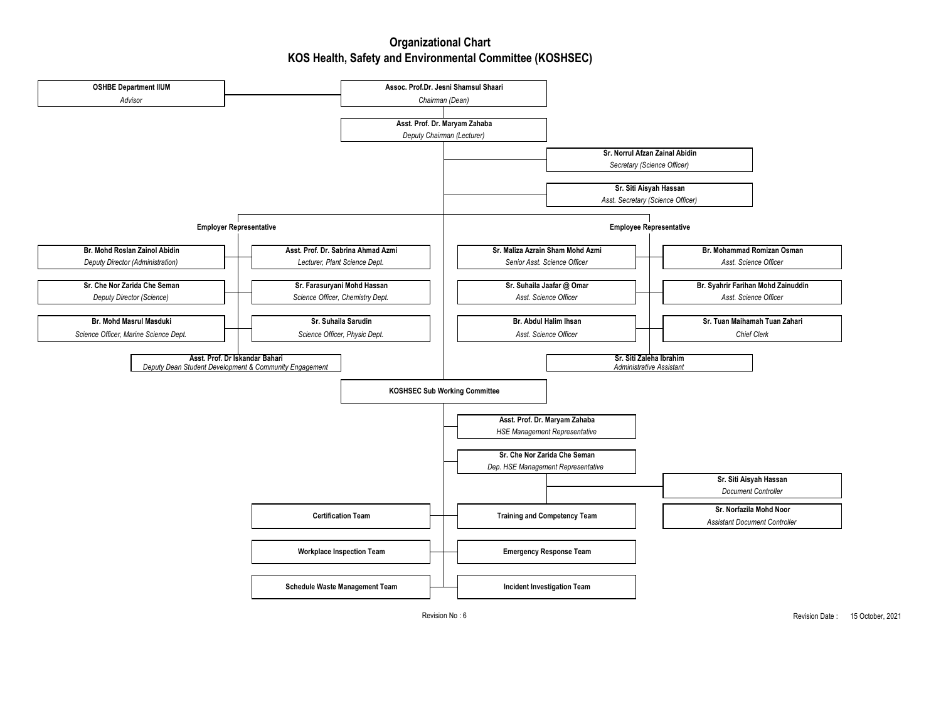## **Organizational Chart KOS Health, Safety and Environmental Committee (KOSHSEC)**



Revision No : 6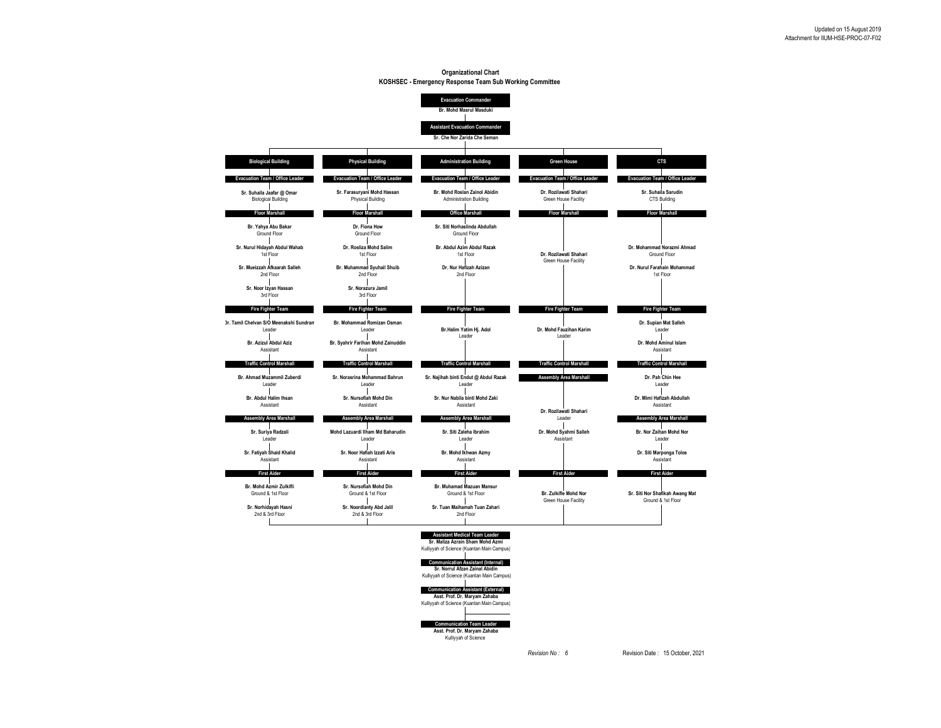## **Organizational Chart KOSHSEC - Emergency Response Team Sub Working Committee**



*Revision No : 6* Revision Date : 15 October, 2021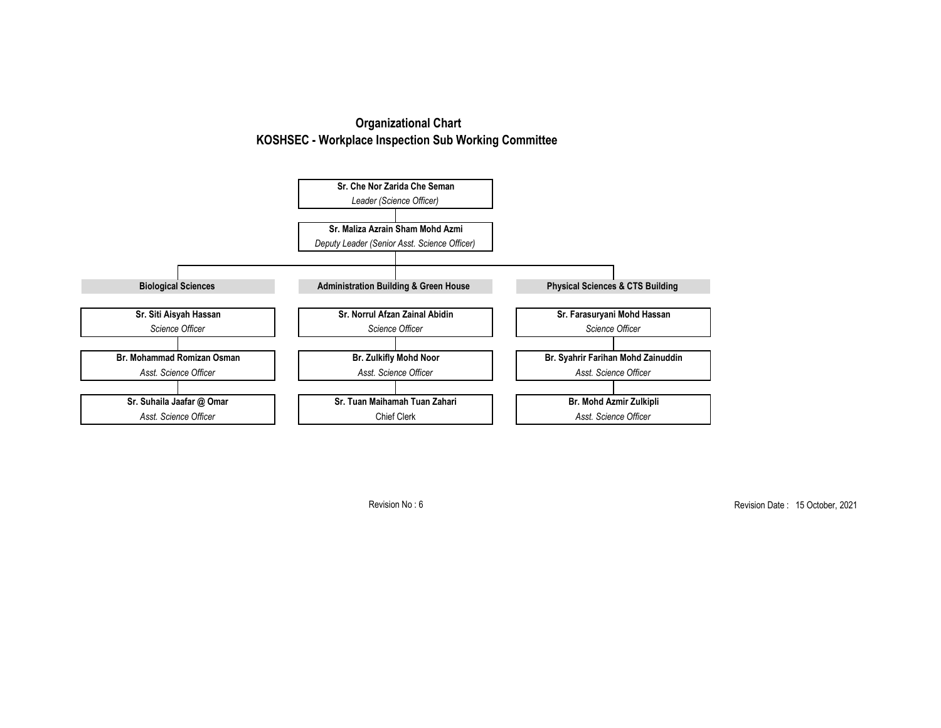## **Organizational Chart KOSHSEC - Workplace Inspection Sub Working Committee**



Revision No : 6

Revision Date : 15 October, 2021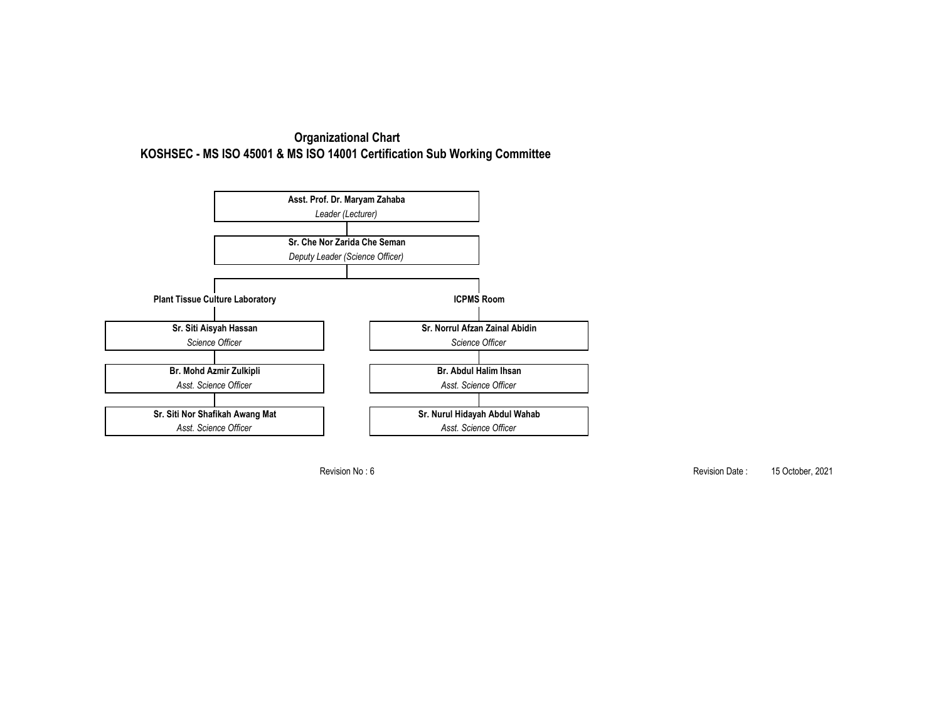



Revision No : 6

Revision Date: 15 October, 2021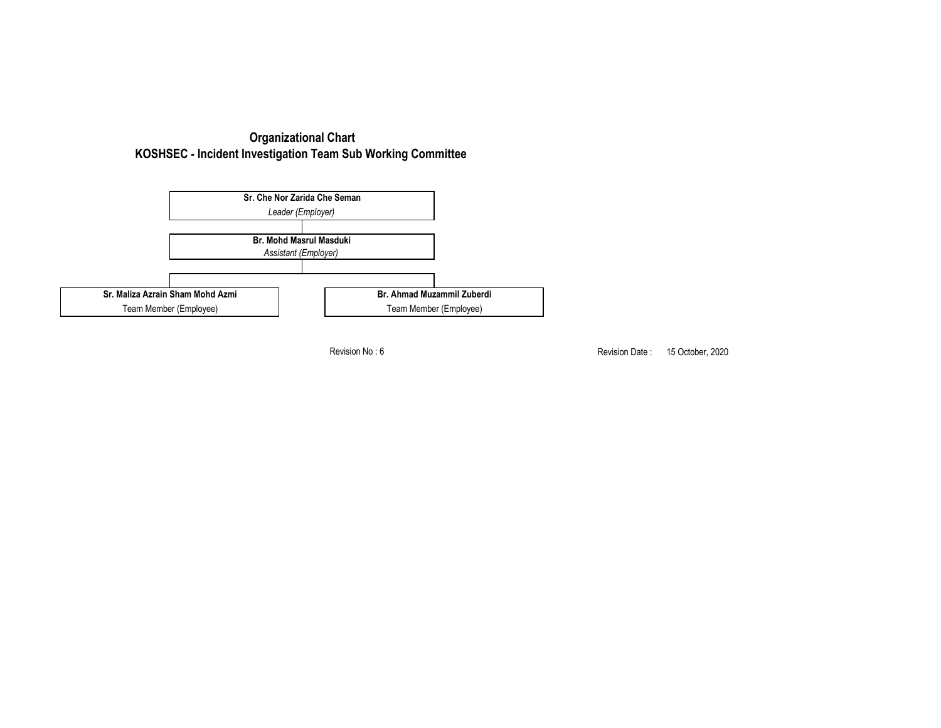



Revision No : 6

Revision Date: 15 October, 2020